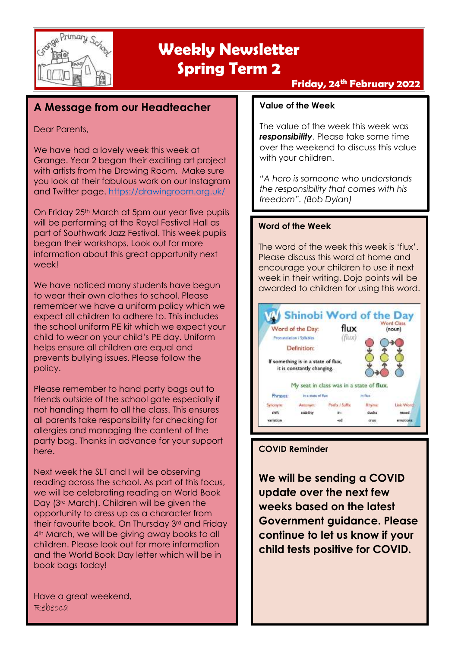

### **Friday, 24 th February 2022**

### **A Message from our Headteacher**

### Dear Parents,

We have had a lovely week this week at Grange. Year 2 began their exciting art project with artists from the Drawing Room. Make sure you look at their fabulous work on our Instagram and Twitter page.<https://drawingroom.org.uk/>

On Friday 25<sup>th</sup> March at 5pm our year five pupils will be performing at the Royal Festival Hall as part of Southwark Jazz Festival. This week pupils began their workshops. Look out for more information about this great opportunity next week!

We have noticed many students have begun to wear their own clothes to school. Please remember we have a uniform policy which we expect all children to adhere to. This includes the school uniform PE kit which we expect your child to wear on your child's PE day. Uniform helps ensure all children are equal and prevents bullying issues. Please follow the policy.

Please remember to hand party bags out to friends outside of the school gate especially if not handing them to all the class. This ensures all parents take responsibility for checking for allergies and managing the content of the party bag. Thanks in advance for your support here.

Next week the SLT and I will be observing reading across the school. As part of this focus, we will be celebrating reading on World Book Day (3<sup>rd</sup> March). Children will be given the opportunity to dress up as a character from their favourite book. On Thursday 3rd and Friday 4<sup>th</sup> March, we will be giving away books to all children. Please look out for more information and the World Book Day letter which will be in book bags today!

Have a great weekend, Rebecca

### **Value of the Week**

The value of the week this week was **responsibility**. Please take some time over the weekend to discuss this value with your children.

*"A hero is someone who understands the responsibility that comes with his freedom". (Bob Dylan)*

### **Word of the Week**

The word of the week this week is 'flux'. Please discuss this word at home and encourage your children to use it next week in their writing. Dojo points will be awarded to children for using this word.



### **COVID Reminder**

**We will be sending a COVID update over the next few weeks based on the latest Government guidance. Please continue to let us know if your child tests positive for COVID.**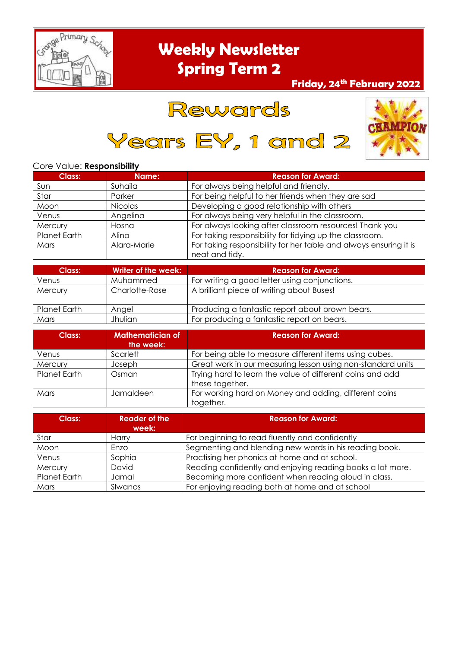

### **Friday, 24 th February 2022**

## Rewards

Years EY, 1 and 2



#### Core Value: **Responsibility**

| <b>Class:</b>       | Name:       | <b>Reason for Award:</b>                                                            |  |
|---------------------|-------------|-------------------------------------------------------------------------------------|--|
| Sun                 | Suhaila     | For always being helpful and friendly.                                              |  |
| Star                | Parker      | For being helpful to her friends when they are sad                                  |  |
| Moon                | Nicolas     | Developing a good relationship with others                                          |  |
| Venus               | Angelina    | For always being very helpful in the classroom.                                     |  |
| Mercury             | Hosna       | For always looking after classroom resources! Thank you                             |  |
| <b>Planet Earth</b> | Alina       | For taking responsibility for tidying up the classroom.                             |  |
| Mars                | Alara-Marie | For taking responsibility for her table and always ensuring it is<br>neat and tidy. |  |

| Class:       | Writer of the week: | <b>Reason for Award:</b>                        |
|--------------|---------------------|-------------------------------------------------|
| Venus        | Muhammed            | For writing a good letter using conjunctions.   |
| Mercury      | Charlotte-Rose      | A brilliant piece of writing about Buses!       |
| Planet Earth | Angel               | Producing a fantastic report about brown bears. |
| Mars         | Jhulian             | For producing a fantastic report on bears.      |

| Class:       | <b>Mathematician of</b><br>the week: | <b>Reason for Award:</b>                                                     |  |
|--------------|--------------------------------------|------------------------------------------------------------------------------|--|
| Venus        | Scarlett                             | For being able to measure different items using cubes.                       |  |
| Mercury      | Joseph                               | Great work in our measuring lesson using non-standard units                  |  |
| Planet Earth | Osman                                | Trying hard to learn the value of different coins and add<br>these together. |  |
| Mars         | Jamaldeen                            | For working hard on Money and adding, different coins<br>together.           |  |

| Class:              | Reader of the<br>week: | <b>Reason for Award:</b>                                   |  |
|---------------------|------------------------|------------------------------------------------------------|--|
| Star                | Harry                  | For beginning to read fluently and confidently             |  |
| Moon                | Enzo                   | Segmenting and blending new words in his reading book.     |  |
| Venus               | Sophia                 | Practising her phonics at home and at school.              |  |
| Mercury             | David                  | Reading confidently and enjoying reading books a lot more. |  |
| <b>Planet Earth</b> | Jamal                  | Becoming more confident when reading aloud in class.       |  |
| Mars                | Slwanos                | For enjoying reading both at home and at school            |  |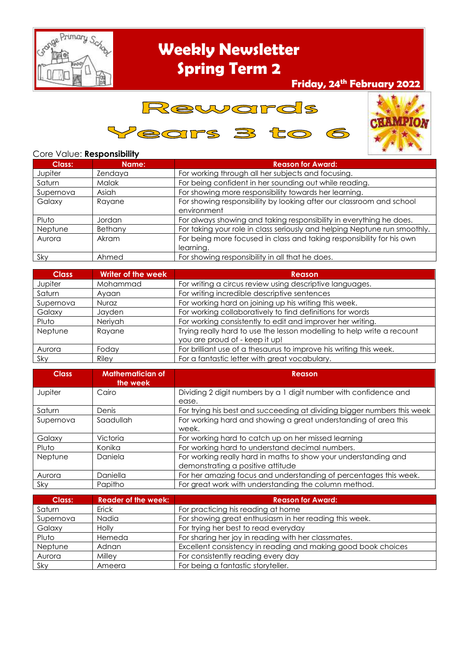

### **Friday, 24 th February 2022**





### Core Value: **Responsibility**

| Class:    | Name:        | <b>Reason for Award:</b>                                                            |  |
|-----------|--------------|-------------------------------------------------------------------------------------|--|
| Jupiter   | Zendaya      | For working through all her subjects and focusing.                                  |  |
| Saturn    | <b>Malak</b> | For being confident in her sounding out while reading.                              |  |
| Supernova | Asiah        | For showing more responsibility towards her learning.                               |  |
| Galaxy    | Rayane       | For showing responsibility by looking after our classroom and school<br>environment |  |
| Pluto     | Jordan       | For always showing and taking responsibility in everything he does.                 |  |
| Neptune   | Bethany      | For taking your role in class seriously and helping Neptune run smoothly.           |  |
| Aurora    | Akram        | For being more focused in class and taking responsibility for his own<br>learning.  |  |
| Sky       | Ahmed        | For showing responsibility in all that he does.                                     |  |

| <b>Class</b> | Writer of the week | Reason                                                                 |  |
|--------------|--------------------|------------------------------------------------------------------------|--|
| Jupiter      | Mohammad           | For writing a circus review using descriptive languages.               |  |
| Saturn       | Ayaan              | For writing incredible descriptive sentences                           |  |
| Supernova    | Nuraz              | For working hard on joining up his writing this week.                  |  |
| Galaxy       | Jayden             | For working collaboratively to find definitions for words              |  |
| Pluto        | Neriyah            | For working consistently to edit and improver her writing.             |  |
| Neptune      | Rayane             | Trying really hard to use the lesson modelling to help write a recount |  |
|              |                    | you are proud of - keep it up!                                         |  |
| Aurora       | Foday              | For brilliant use of a thesaurus to improve his writing this week.     |  |
| Sky          | Riley              | For a fantastic letter with great vocabulary.                          |  |

| <b>Class</b> | <b>Mathematician of</b><br>the week | <b>Reason</b>                                                                                        |  |
|--------------|-------------------------------------|------------------------------------------------------------------------------------------------------|--|
| Jupiter      | Cairo                               | Dividing 2 digit numbers by a 1 digit number with confidence and<br>ease.                            |  |
| Saturn       | Denis                               | For trying his best and succeeding at dividing bigger numbers this week                              |  |
| Supernova    | Saadullah                           | For working hard and showing a great understanding of area this<br>week.                             |  |
| Galaxy       | Victoria                            | For working hard to catch up on her missed learning                                                  |  |
| Pluto        | Konika                              | For working hard to understand decimal numbers.                                                      |  |
| Neptune      | Daniela                             | For working really hard in maths to show your understanding and<br>demonstrating a positive attitude |  |
| Aurora       | Daniella                            | For her amazing focus and understanding of percentages this week.                                    |  |
| Sky          | Papitho                             | For great work with understanding the column method.                                                 |  |

| Class:    | <b>Reader of the week:</b> | <b>Reason for Award:</b>                                      |  |
|-----------|----------------------------|---------------------------------------------------------------|--|
| Saturn    | Erick                      | For practicing his reading at home                            |  |
| Supernova | Nadia                      | For showing great enthusiasm in her reading this week.        |  |
| Galaxy    | Holly                      | For trying her best to read everyday                          |  |
| Pluto     | Hemeda                     | For sharing her joy in reading with her classmates.           |  |
| Neptune   | Adnan                      | Excellent consistency in reading and making good book choices |  |
| Aurora    | Milley                     | For consistently reading every day                            |  |
| Sky       | Ameera                     | For being a fantastic storyteller.                            |  |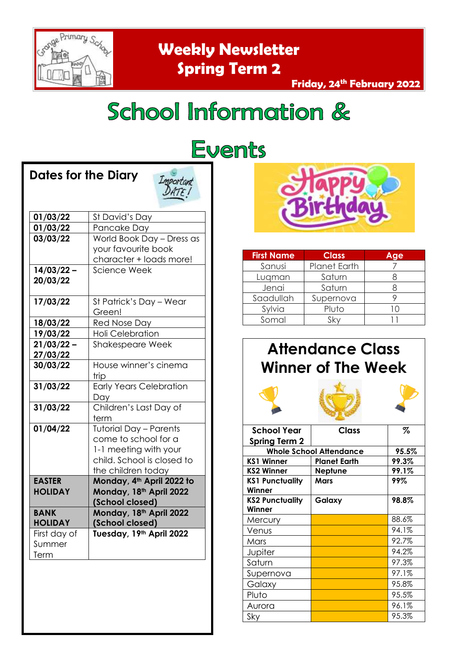

**Dates for the Diary** 

**Weekly Newsletter Spring Term 2**

### **Friday, 24 th February 2022**

# School Information &

| Dates for the Diary             | Important<br>DATE I                                                                                                                |  |
|---------------------------------|------------------------------------------------------------------------------------------------------------------------------------|--|
| 01/03/22                        | St David's Day                                                                                                                     |  |
| 01/03/22                        | Pancake Day                                                                                                                        |  |
| 03/03/22                        | World Book Day - Dress as<br>your favourite book<br>character + loads more!                                                        |  |
| $14/03/22 -$<br>20/03/22        | <b>Science Week</b>                                                                                                                |  |
| 17/03/22                        | St Patrick's Day - Wear<br>Green!                                                                                                  |  |
| 18/03/22                        | Red Nose Day                                                                                                                       |  |
| 19/03/22                        | <b>Holi Celebration</b>                                                                                                            |  |
| 21/03/22<br>27/03/22            | <b>Shakespeare Week</b>                                                                                                            |  |
| 30/03/22                        | House winner's cinema<br>trip                                                                                                      |  |
| 31/03/22                        | <b>Early Years Celebration</b><br>Day                                                                                              |  |
| 31/03/22                        | Children's Last Day of<br>term                                                                                                     |  |
| 01/04/22                        | <b>Tutorial Day - Parents</b><br>come to school for a<br>1-1 meeting with your<br>child. School is closed to<br>the children today |  |
| <b>EASTER</b><br><b>HOLIDAY</b> | Monday, 4th April 2022 to<br>Monday, 18th April 2022<br>(School closed)                                                            |  |
| <b>BANK</b><br><b>HOLIDAY</b>   | Monday, 18th April 2022<br>(School closed)                                                                                         |  |
| First day of<br>Summer<br>Term  | Tuesday, 19th April 2022                                                                                                           |  |

# **Events**



| <b>First Name</b> | <b>Class</b>        | Age         |
|-------------------|---------------------|-------------|
| Sanusi            | <b>Planet Earth</b> |             |
| Lugman            | Saturn              |             |
| Jenai             | Saturn              |             |
| Saadullah         | Supernova           |             |
| Sylvia            | Pluto               | $\vert$ ( ) |
| Somal             | Skv                 |             |

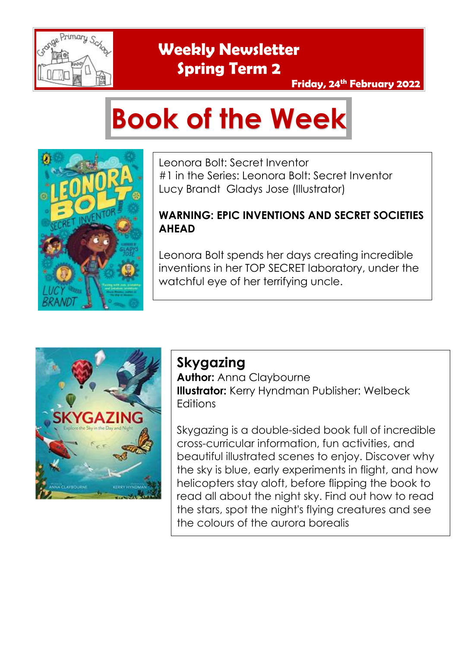

### **Friday, 24 th February 2022**

# **Book of the Week**



Leonora Bolt: Secret Inventor #1 in the Series: Leonora Bolt: Secret Inventor Lucy Brandt Gladys Jose (Illustrator)

### **WARNING: EPIC INVENTIONS AND SECRET SOCIETIES AHEAD**

Leonora Bolt spends her days creating incredible inventions in her TOP SECRET laboratory, under the watchful eye of her terrifying uncle.



### **Skygazing**

**Author:** Anna Claybourne **Illustrator:** Kerry Hyndman Publisher: Welbeck **Editions** 

Skygazing is a double-sided book full of incredible cross-curricular information, fun activities, and beautiful illustrated scenes to enjoy. Discover why the sky is blue, early experiments in flight, and how helicopters stay aloft, before flipping the book to read all about the night sky. Find out how to read the stars, spot the night's flying creatures and see the colours of the aurora borealis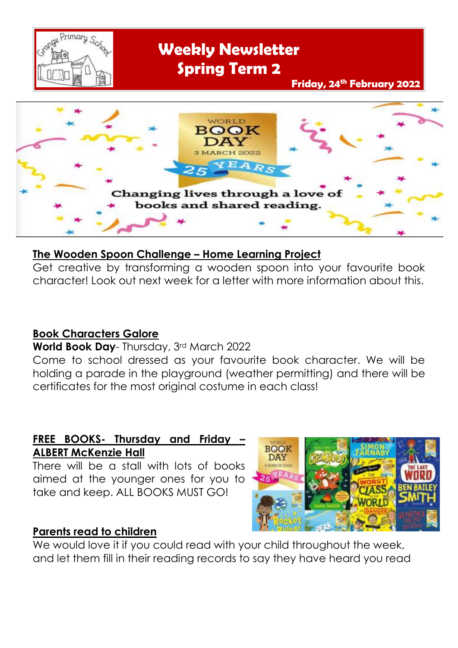



### **The Wooden Spoon Challenge – Home Learning Project**

Get creative by transforming a wooden spoon into your favourite book character! Look out next week for a letter with more information about this.

### **Book Characters Galore**

### **World Book Day**- Thursday, 3rd March 2022

Come to school dressed as your favourite book character. We will be holding a parade in the playground (weather permitting) and there will be certificates for the most original costume in each class!

### **FREE BOOKS- Thursday and Friday – ALBERT McKenzie Hall**

There will be a stall with lots of books aimed at the younger ones for you to take and keep. ALL BOOKS MUST GO!

### **Parents read to children**



We would love it if you could read with your child throughout the week, and let them fill in their reading records to say they have heard you read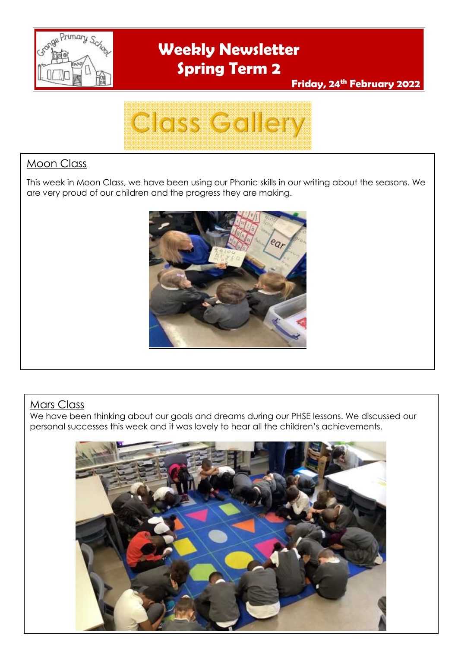

**Friday, 24 th February 2022**



### Moon Class

This week in Moon Class, we have been using our Phonic skills in our writing about the seasons. We are very proud of our children and the progress they are making.



### Mars Class

We have been thinking about our goals and dreams during our PHSE lessons. We discussed our personal successes this week and it was lovely to hear all the children's achievements.

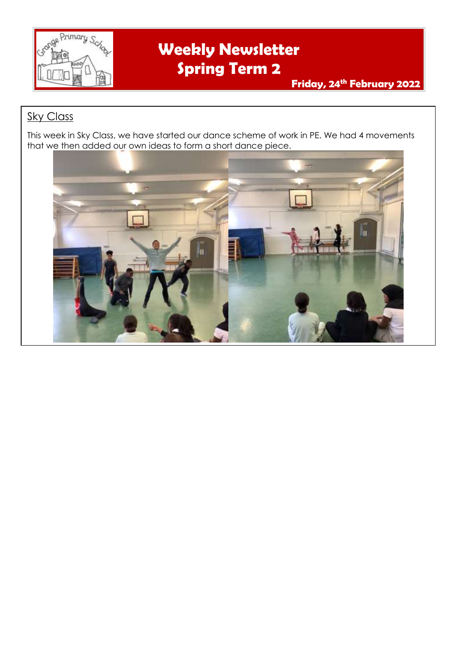

### **Sky Class**

This week in Sky Class, we have started our dance scheme of work in PE. We had 4 movements that we then added our own ideas to form a short dance piece.